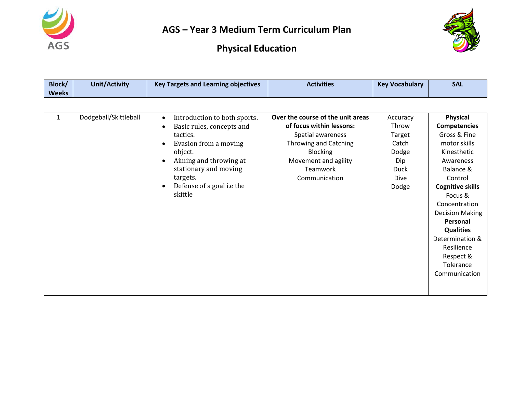



| Block/<br><b>Weeks</b> | <b>Unit/Activity</b>  | <b>Key Targets and Learning objectives</b>                                                                                                                                                                                    | <b>Activities</b>                                                                                                                                                                   | <b>Key Vocabulary</b>                                                                       | <b>SAL</b>                                                                                                                                                                                                                                                                                                       |
|------------------------|-----------------------|-------------------------------------------------------------------------------------------------------------------------------------------------------------------------------------------------------------------------------|-------------------------------------------------------------------------------------------------------------------------------------------------------------------------------------|---------------------------------------------------------------------------------------------|------------------------------------------------------------------------------------------------------------------------------------------------------------------------------------------------------------------------------------------------------------------------------------------------------------------|
|                        |                       |                                                                                                                                                                                                                               |                                                                                                                                                                                     |                                                                                             |                                                                                                                                                                                                                                                                                                                  |
| $\mathbf{1}$           | Dodgeball/Skittleball | Introduction to both sports.<br>$\bullet$<br>Basic rules, concepts and<br>tactics.<br>Evasion from a moving<br>object.<br>Aiming and throwing at<br>stationary and moving<br>targets.<br>Defense of a goal i.e the<br>skittle | Over the course of the unit areas<br>of focus within lessons:<br>Spatial awareness<br>Throwing and Catching<br><b>Blocking</b><br>Movement and agility<br>Teamwork<br>Communication | Accuracy<br>Throw<br>Target<br>Catch<br>Dodge<br>Dip<br><b>Duck</b><br><b>Dive</b><br>Dodge | Physical<br><b>Competencies</b><br>Gross & Fine<br>motor skills<br>Kinesthetic<br>Awareness<br>Balance &<br>Control<br><b>Cognitive skills</b><br>Focus &<br>Concentration<br><b>Decision Making</b><br>Personal<br><b>Qualities</b><br>Determination &<br>Resilience<br>Respect &<br>Tolerance<br>Communication |
|                        |                       |                                                                                                                                                                                                                               |                                                                                                                                                                                     |                                                                                             |                                                                                                                                                                                                                                                                                                                  |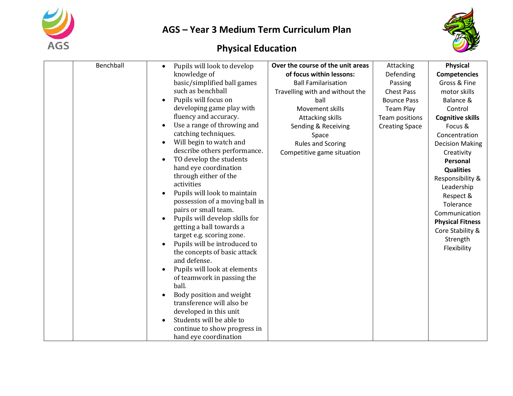



| Benchball | Pupils will look to develop                            | Over the course of the unit areas | Attacking             | <b>Physical</b>         |
|-----------|--------------------------------------------------------|-----------------------------------|-----------------------|-------------------------|
|           | knowledge of                                           | of focus within lessons:          | Defending             | <b>Competencies</b>     |
|           | basic/simplified ball games                            | <b>Ball Familarisation</b>        | Passing               | Gross & Fine            |
|           | such as benchball                                      | Travelling with and without the   | <b>Chest Pass</b>     | motor skills            |
|           | Pupils will focus on                                   | ball                              | <b>Bounce Pass</b>    | Balance &               |
|           | developing game play with                              | Movement skills                   | Team Play             | Control                 |
|           | fluency and accuracy.                                  | Attacking skills                  | Team positions        | <b>Cognitive skills</b> |
|           | Use a range of throwing and                            | Sending & Receiving               | <b>Creating Space</b> | Focus &                 |
|           | catching techniques.                                   | Space                             |                       | Concentration           |
|           | Will begin to watch and                                | <b>Rules and Scoring</b>          |                       | <b>Decision Making</b>  |
|           | describe others performance.                           | Competitive game situation        |                       | Creativity              |
|           | TO develop the students                                |                                   |                       | Personal                |
|           | hand eye coordination                                  |                                   |                       | <b>Qualities</b>        |
|           | through either of the                                  |                                   |                       | Responsibility &        |
|           | activities                                             |                                   |                       | Leadership              |
|           | Pupils will look to maintain                           |                                   |                       | Respect &               |
|           | possession of a moving ball in<br>pairs or small team. |                                   |                       | Tolerance               |
|           | Pupils will develop skills for                         |                                   |                       | Communication           |
|           | getting a ball towards a                               |                                   |                       | <b>Physical Fitness</b> |
|           | target e.g. scoring zone.                              |                                   |                       | Core Stability &        |
|           | Pupils will be introduced to                           |                                   |                       | Strength                |
|           | the concepts of basic attack                           |                                   |                       | Flexibility             |
|           | and defense.                                           |                                   |                       |                         |
|           | Pupils will look at elements                           |                                   |                       |                         |
|           | of teamwork in passing the                             |                                   |                       |                         |
|           | ball.                                                  |                                   |                       |                         |
|           | Body position and weight                               |                                   |                       |                         |
|           | transference will also be                              |                                   |                       |                         |
|           | developed in this unit                                 |                                   |                       |                         |
|           | Students will be able to                               |                                   |                       |                         |
|           | continue to show progress in                           |                                   |                       |                         |
|           | hand eye coordination                                  |                                   |                       |                         |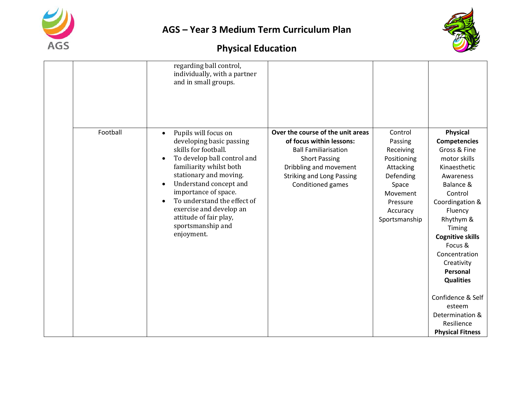



|          | regarding ball control,<br>individually, with a partner<br>and in small groups.                                                                                                                                                                                                                                                                                              |                                                                                                                                                                                                         |                                                                                                                                        |                                                                                                                                                                                                                                                                                                                                                                                  |
|----------|------------------------------------------------------------------------------------------------------------------------------------------------------------------------------------------------------------------------------------------------------------------------------------------------------------------------------------------------------------------------------|---------------------------------------------------------------------------------------------------------------------------------------------------------------------------------------------------------|----------------------------------------------------------------------------------------------------------------------------------------|----------------------------------------------------------------------------------------------------------------------------------------------------------------------------------------------------------------------------------------------------------------------------------------------------------------------------------------------------------------------------------|
| Football | Pupils will focus on<br>$\bullet$<br>developing basic passing<br>skills for football.<br>To develop ball control and<br>$\bullet$<br>familiarity whilst both<br>stationary and moving.<br>Understand concept and<br>$\bullet$<br>importance of space.<br>To understand the effect of<br>exercise and develop an<br>attitude of fair play,<br>sportsmanship and<br>enjoyment. | Over the course of the unit areas<br>of focus within lessons:<br><b>Ball Familiarisation</b><br><b>Short Passing</b><br>Dribbling and movement<br><b>Striking and Long Passing</b><br>Conditioned games | Control<br>Passing<br>Receiving<br>Positioning<br>Attacking<br>Defending<br>Space<br>Movement<br>Pressure<br>Accuracy<br>Sportsmanship | <b>Physical</b><br><b>Competencies</b><br>Gross & Fine<br>motor skills<br>Kinaesthetic<br>Awareness<br>Balance &<br>Control<br>Coordingation &<br>Fluency<br>Rhythym &<br>Timing<br><b>Cognitive skills</b><br>Focus &<br>Concentration<br>Creativity<br>Personal<br><b>Qualities</b><br>Confidence & Self<br>esteem<br>Determination &<br>Resilience<br><b>Physical Fitness</b> |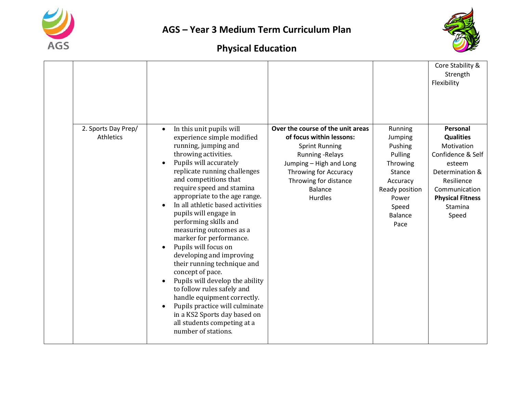



|                                  |                                                                                                                                                                                                                                                                                                                                                                                                                                                                                                                                                                                                                                                                                                                                                 |                                                                                                                                                                                                                             |                                                                                                                                          | Core Stability &<br>Strength<br>Flexibility                                                                                                                                |
|----------------------------------|-------------------------------------------------------------------------------------------------------------------------------------------------------------------------------------------------------------------------------------------------------------------------------------------------------------------------------------------------------------------------------------------------------------------------------------------------------------------------------------------------------------------------------------------------------------------------------------------------------------------------------------------------------------------------------------------------------------------------------------------------|-----------------------------------------------------------------------------------------------------------------------------------------------------------------------------------------------------------------------------|------------------------------------------------------------------------------------------------------------------------------------------|----------------------------------------------------------------------------------------------------------------------------------------------------------------------------|
| 2. Sports Day Prep/<br>Athletics | In this unit pupils will<br>$\bullet$<br>experience simple modified<br>running, jumping and<br>throwing activities.<br>Pupils will accurately<br>replicate running challenges<br>and competitions that<br>require speed and stamina<br>appropriate to the age range.<br>In all athletic based activities<br>pupils will engage in<br>performing skills and<br>measuring outcomes as a<br>marker for performance.<br>Pupils will focus on<br>developing and improving<br>their running technique and<br>concept of pace.<br>Pupils will develop the ability<br>to follow rules safely and<br>handle equipment correctly.<br>Pupils practice will culminate<br>in a KS2 Sports day based on<br>all students competing at a<br>number of stations. | Over the course of the unit areas<br>of focus within lessons:<br><b>Sprint Running</b><br><b>Running - Relays</b><br>Jumping - High and Long<br>Throwing for Accuracy<br>Throwing for distance<br><b>Balance</b><br>Hurdles | Running<br>Jumping<br>Pushing<br>Pulling<br>Throwing<br>Stance<br>Accuracy<br>Ready position<br>Power<br>Speed<br><b>Balance</b><br>Pace | Personal<br><b>Qualities</b><br>Motivation<br>Confidence & Self<br>esteem<br>Determination &<br>Resilience<br>Communication<br><b>Physical Fitness</b><br>Stamina<br>Speed |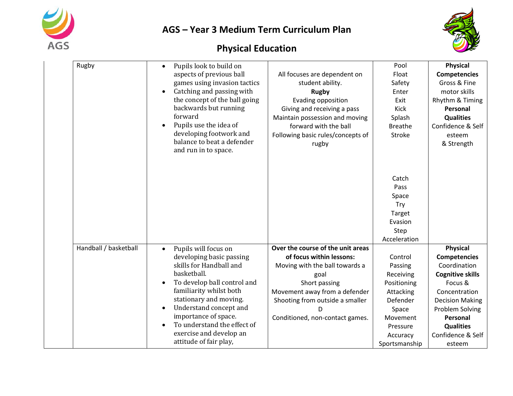



| Rugby                 | Pupils look to build on<br>$\bullet$               |                                   | Pool           | <b>Physical</b>         |
|-----------------------|----------------------------------------------------|-----------------------------------|----------------|-------------------------|
|                       | aspects of previous ball                           | All focuses are dependent on      | Float          | <b>Competencies</b>     |
|                       | games using invasion tactics                       | student ability.                  | Safety         | Gross & Fine            |
|                       | Catching and passing with                          | <b>Rugby</b>                      | Enter          | motor skills            |
|                       | the concept of the ball going                      | Evading opposition                | Exit           | Rhythm & Timing         |
|                       | backwards but running                              | Giving and receiving a pass       | Kick           | Personal                |
|                       | forward                                            | Maintain possession and moving    | Splash         | <b>Qualities</b>        |
|                       | Pupils use the idea of                             | forward with the ball             | <b>Breathe</b> | Confidence & Self       |
|                       | developing footwork and                            | Following basic rules/concepts of | Stroke         | esteem                  |
|                       | balance to beat a defender<br>and run in to space. | rugby                             |                | & Strength              |
|                       |                                                    |                                   |                |                         |
|                       |                                                    |                                   | Catch          |                         |
|                       |                                                    |                                   | Pass           |                         |
|                       |                                                    |                                   | Space          |                         |
|                       |                                                    |                                   | <b>Try</b>     |                         |
|                       |                                                    |                                   | Target         |                         |
|                       |                                                    |                                   | Evasion        |                         |
|                       |                                                    |                                   | Step           |                         |
|                       |                                                    |                                   | Acceleration   |                         |
| Handball / basketball | Pupils will focus on<br>$\bullet$                  | Over the course of the unit areas |                | <b>Physical</b>         |
|                       | developing basic passing                           | of focus within lessons:          | Control        | <b>Competencies</b>     |
|                       | skills for Handball and                            | Moving with the ball towards a    | Passing        | Coordination            |
|                       | basketball.                                        | goal                              | Receiving      | <b>Cognitive skills</b> |
|                       | To develop ball control and                        | Short passing                     | Positioning    | Focus &                 |
|                       | familiarity whilst both                            | Movement away from a defender     | Attacking      | Concentration           |
|                       | stationary and moving.                             | Shooting from outside a smaller   | Defender       | <b>Decision Making</b>  |
|                       | Understand concept and<br>$\bullet$                | D                                 | Space          | Problem Solving         |
|                       | importance of space.                               | Conditioned, non-contact games.   | Movement       | Personal                |
|                       | To understand the effect of                        |                                   | Pressure       | <b>Qualities</b>        |
|                       | exercise and develop an                            |                                   | Accuracy       | Confidence & Self       |
|                       | attitude of fair play,                             |                                   | Sportsmanship  | esteem                  |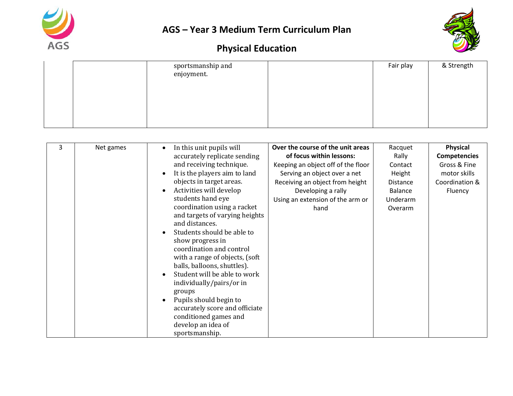



|  | sportsmanship and<br>enjoyment. | Fair play | & Strength |
|--|---------------------------------|-----------|------------|
|  |                                 |           |            |
|  |                                 |           |            |
|  |                                 |           |            |

| 3 | Net games | In this unit pupils will<br>accurately replicate sending<br>and receiving technique.<br>It is the players aim to land<br>objects in target areas.<br>Activities will develop<br>students hand eye<br>coordination using a racket<br>and targets of varying heights<br>and distances.<br>Students should be able to<br>show progress in<br>coordination and control<br>with a range of objects, (soft<br>balls, balloons, shuttles).<br>Student will be able to work<br>individually/pairs/or in<br>groups<br>Pupils should begin to<br>accurately score and officiate | Over the course of the unit areas<br>of focus within lessons:<br>Keeping an object off of the floor<br>Serving an object over a net<br>Receiving an object from height<br>Developing a rally<br>Using an extension of the arm or<br>hand | Racquet<br>Rally<br>Contact<br>Height<br>Distance<br>Balance<br>Underarm<br>Overarm | Physical<br><b>Competencies</b><br>Gross & Fine<br>motor skills<br>Coordination &<br>Fluency |
|---|-----------|-----------------------------------------------------------------------------------------------------------------------------------------------------------------------------------------------------------------------------------------------------------------------------------------------------------------------------------------------------------------------------------------------------------------------------------------------------------------------------------------------------------------------------------------------------------------------|------------------------------------------------------------------------------------------------------------------------------------------------------------------------------------------------------------------------------------------|-------------------------------------------------------------------------------------|----------------------------------------------------------------------------------------------|
|   |           | conditioned games and<br>develop an idea of<br>sportsmanship.                                                                                                                                                                                                                                                                                                                                                                                                                                                                                                         |                                                                                                                                                                                                                                          |                                                                                     |                                                                                              |